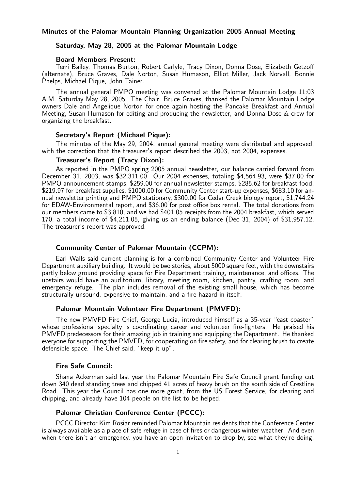### Minutes of the Palomar Mountain Planning Organization 2005 Annual Meeting

### Saturday, May 28, 2005 at the Palomar Mountain Lodge

### Board Members Present:

Terri Bailey, Thomas Burton, Robert Carlyle, Tracy Dixon, Donna Dose, Elizabeth Getzoff (alternate), Bruce Graves, Dale Norton, Susan Humason, Elliot Miller, Jack Norvall, Bonnie Phelps, Michael Pique, John Tainer.

The annual general PMPO meeting was convened at the Palomar Mountain Lodge 11:03 A.M. Saturday May 28, 2005. The Chair, Bruce Graves, thanked the Palomar Mountain Lodge owners Dale and Angelique Norton for once again hosting the Pancake Breakfast and Annual Meeting, Susan Humason for editing and producing the newsletter, and Donna Dose & crew for organizing the breakfast.

#### Secretary's Report (Michael Pique):

The minutes of the May 29, 2004, annual general meeting were distributed and approved, with the correction that the treasurer's report described the 2003, not 2004, expenses.

#### Treasurer's Report (Tracy Dixon):

As reported in the PMPO spring 2005 annual newsletter, our balance carried forward from December 31, 2003, was \$32,311.00. Our 2004 expenses, totaling \$4,564.93, were \$37.00 for PMPO announcement stamps, \$259.00 for annual newsletter stamps, \$285.62 for breakfast food, \$219.97 for breakfast supplies, \$1000.00 for Community Center start-up expenses, \$683.10 for annual newsletter printing and PMPO stationary, \$300.00 for Cedar Creek biology report, \$1,744.24 for EDAW-Environmental report, and \$36.00 for post office box rental. The total donations from our members came to \$3,810, and we had \$401.05 receipts from the 2004 breakfast, which served 170, a total income of \$4,211.05, giving us an ending balance (Dec 31, 2004) of \$31,957.12. The treasurer's report was approved.

## Community Center of Palomar Mountain (CCPM):

Earl Walls said current planning is for a combined Community Center and Volunteer Fire Department auxiliary building. It would be two stories, about 5000 square feet, with the downstairs partly below ground providing space for Fire Department training, maintenance, and offices. The upstairs would have an auditorium, library, meeting room, kitchen, pantry, crafting room, and emergency refuge. The plan includes removal of the existing small house, which has become structurally unsound, expensive to maintain, and a fire hazard in itself.

### Palomar Mountain Volunteer Fire Department (PMVFD):

The new PMVFD Fire Chief, George Lucia, introduced himself as a 35-year "east coaster" whose professional specialty is coordinating career and volunteer fire-fighters. He praised his PMVFD predecessors for their amazing job in training and equipping the Department. He thanked everyone for supporting the PMVFD, for cooperating on fire safety, and for clearing brush to create defensible space. The Chief said, "keep it up".

#### Fire Safe Council:

Shana Ackerman said last year the Palomar Mountain Fire Safe Council grant funding cut down 340 dead standing trees and chipped 41 acres of heavy brush on the south side of Crestline Road. This year the Council has one more grant, from the US Forest Service, for clearing and chipping, and already have 104 people on the list to be helped.

### Palomar Christian Conference Center (PCCC):

PCCC Director Kim Rosiar reminded Palomar Mountain residents that the Conference Center is always available as a place of safe refuge in case of fires or dangerous winter weather. And even when there isn't an emergency, you have an open invitation to drop by, see what they're doing,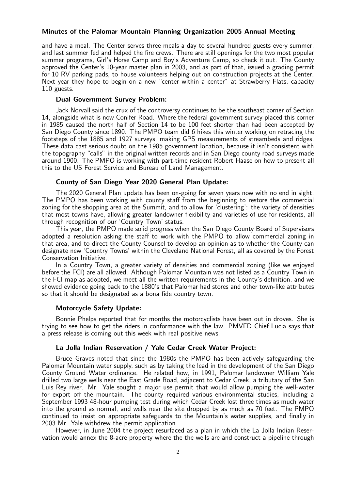### Minutes of the Palomar Mountain Planning Organization 2005 Annual Meeting

and have a meal. The Center serves three meals a day to several hundred guests every summer, and last summer fed and helped the fire crews. There are still openings for the two most popular summer programs, Girl's Horse Camp and Boy's Adventure Camp, so check it out. The County approved the Center's 10-year master plan in 2003, and as part of that, issued a grading permit for 10 RV parking pads, to house volunteers helping out on construction projects at the Center. Next year they hope to begin on a new "center within a center" at Strawberry Flats, capacity 110 guests.

### Dual Government Survey Problem:

Jack Norvall said the crux of the controversy continues to be the southeast corner of Section 14, alongside what is now Conifer Road. Where the federal government survey placed this corner in 1985 caused the north half of Section 14 to be 100 feet shorter than had been accepted by San Diego County since 1890. The PMPO team did 6 hikes this winter working on retracing the footsteps of the 1885 and 1927 surveys, making GPS measurements of streambeds and ridges. These data cast serious doubt on the 1985 government location, because it isn't consistent with the topography "calls" in the original written records and in San Diego county road surveys made around 1900. The PMPO is working with part-time resident Robert Haase on how to present all this to the US Forest Service and Bureau of Land Management.

# County of San Diego Year 2020 General Plan Update:

The 2020 General Plan update has been on-going for seven years now with no end in sight. The PMPO has been working with county staff from the beginning to restore the commercial zoning for the shopping area at the Summit, and to allow for 'clustering': the variety of densities that most towns have, allowing greater landowner flexibility and varieties of use for residents, all through recognition of our 'Country Town' status.

This year, the PMPO made solid progress when the San Diego County Board of Supervisors adopted a resolution asking the staff to work with the PMPO to allow commercial zoning in that area, and to direct the County Counsel to develop an opinion as to whether the County can designate new 'Country Towns' within the Cleveland National Forest, all as covered by the Forest Conservation Initiative.

In a Country Town, a greater variety of densities and commercial zoning (like we enjoyed before the FCI) are all allowed. Although Palomar Mountain was not listed as a Country Town in the FCI map as adopted, we meet all the written requirements in the County's definition, and we showed evidence going back to the 1880's that Palomar had stores and other town-like attributes so that it should be designated as a bona fide country town.

### Motorcycle Safety Update:

Bonnie Phelps reported that for months the motorcyclists have been out in droves. She is trying to see how to get the riders in conformance with the law. PMVFD Chief Lucia says that a press release is coming out this week with real positive news.

## La Jolla Indian Reservation / Yale Cedar Creek Water Project:

Bruce Graves noted that since the 1980s the PMPO has been actively safeguarding the Palomar Mountain water supply, such as by taking the lead in the development of the San Diego County Ground Water ordinance. He related how, in 1991, Palomar landowner William Yale drilled two large wells near the East Grade Road, adjacent to Cedar Creek, a tributary of the San Luis Rey river. Mr. Yale sought a major use permit that would allow pumping the well-water for export off the mountain. The county required various environmental studies, including a September 1993 48-hour pumping test during which Cedar Creek lost three times as much water into the ground as normal, and wells near the site dropped by as much as 70 feet. The PMPO continued to insist on appropriate safeguards to the Mountain's water supplies, and finally in 2003 Mr. Yale withdrew the permit application.

However, in June 2004 the project resurfaced as a plan in which the La Jolla Indian Reservation would annex the 8-acre property where the the wells are and construct a pipeline through